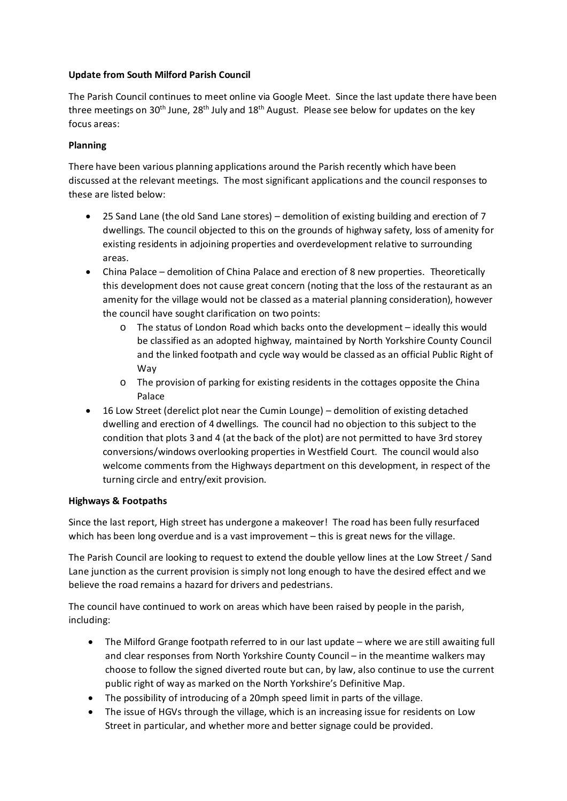# **Update from South Milford Parish Council**

The Parish Council continues to meet online via Google Meet. Since the last update there have been three meetings on 30<sup>th</sup> June, 28<sup>th</sup> July and  $18<sup>th</sup>$  August. Please see below for updates on the key focus areas:

## **Planning**

There have been various planning applications around the Parish recently which have been discussed at the relevant meetings. The most significant applications and the council responses to these are listed below:

- · 25 Sand Lane (the old Sand Lane stores) demolition of existing building and erection of 7 dwellings. The council objected to this on the grounds of highway safety, loss of amenity for existing residents in adjoining properties and overdevelopment relative to surrounding areas.
- · China Palace demolition of China Palace and erection of 8 new properties. Theoretically this development does not cause great concern (noting that the loss of the restaurant as an amenity for the village would not be classed as a material planning consideration), however the council have sought clarification on two points:
	- o The status of London Road which backs onto the development ideally this would be classified as an adopted highway, maintained by North Yorkshire County Council and the linked footpath and cycle way would be classed as an official Public Right of Way
	- o The provision of parking for existing residents in the cottages opposite the China Palace
- · 16 Low Street (derelict plot near the Cumin Lounge) demolition of existing detached dwelling and erection of 4 dwellings. The council had no objection to this subject to the condition that plots 3 and 4 (at the back of the plot) are not permitted to have 3rd storey conversions/windows overlooking properties in Westfield Court. The council would also welcome comments from the Highways department on this development, in respect of the turning circle and entry/exit provision.

# **Highways & Footpaths**

Since the last report, High street has undergone a makeover! The road has been fully resurfaced which has been long overdue and is a vast improvement – this is great news for the village.

The Parish Council are looking to request to extend the double yellow lines at the Low Street / Sand Lane junction as the current provision is simply not long enough to have the desired effect and we believe the road remains a hazard for drivers and pedestrians.

The council have continued to work on areas which have been raised by people in the parish, including:

- · The Milford Grange footpath referred to in our last update where we are still awaiting full and clear responses from North Yorkshire County Council – in the meantime walkers may choose to follow the signed diverted route but can, by law, also continue to use the current public right of way as marked on the North Yorkshire's Definitive Map.
- The possibility of introducing of a 20mph speed limit in parts of the village.
- The issue of HGVs through the village, which is an increasing issue for residents on Low Street in particular, and whether more and better signage could be provided.